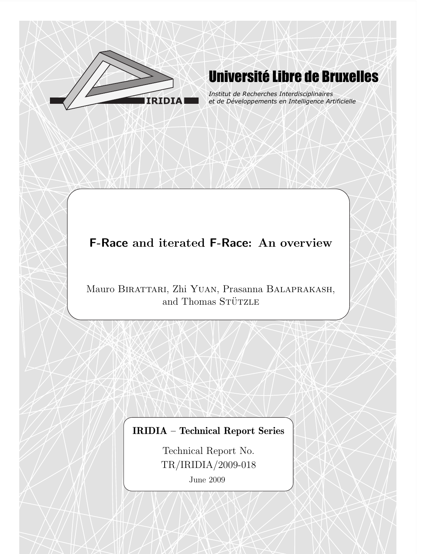

# Université Libre de Bruxelles

*Institut de Recherches Interdisciplinaires et de Développements en Intelligence Artificielle*

## F-Race and iterated F-Race: An overview

Mauro Birattari, Zhi Yuan, Prasanna Balaprakash, and Thomas STÜTZLE

## IRIDIA – Technical Report Series

Technical Report No. TR/IRIDIA/2009-018

June 2009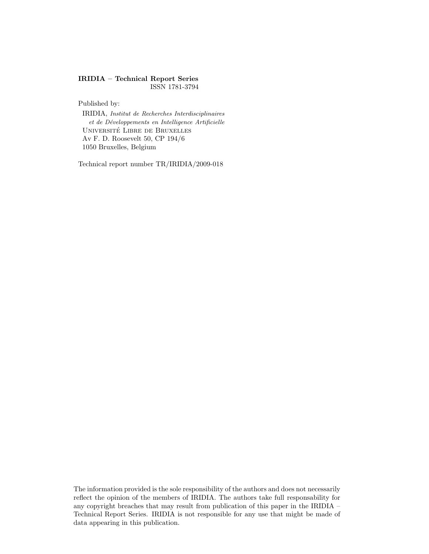#### IRIDIA – Technical Report Series ISSN 1781-3794

Published by:

IRIDIA, Institut de Recherches Interdisciplinaires et de Développements en Intelligence Artificielle UNIVERSITÉ LIBRE DE BRUXELLES Av F. D. Roosevelt 50, CP 194/6 1050 Bruxelles, Belgium

Technical report number TR/IRIDIA/2009-018

The information provided is the sole responsibility of the authors and does not necessarily reflect the opinion of the members of IRIDIA. The authors take full responsability for any copyright breaches that may result from publication of this paper in the IRIDIA – Technical Report Series. IRIDIA is not responsible for any use that might be made of data appearing in this publication.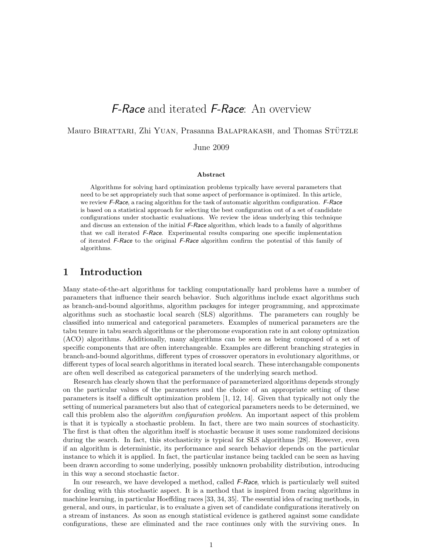## F-Race and iterated F-Race: An overview

Mauro BIRATTARI, Zhi YUAN, Prasanna BALAPRAKASH, and Thomas STÜTZLE

June 2009

#### Abstract

Algorithms for solving hard optimization problems typically have several parameters that need to be set appropriately such that some aspect of performance is optimized. In this article, we review F-Race, a racing algorithm for the task of automatic algorithm configuration. F-Race is based on a statistical approach for selecting the best configuration out of a set of candidate configurations under stochastic evaluations. We review the ideas underlying this technique and discuss an extension of the initial F-Race algorithm, which leads to a family of algorithms that we call iterated F-Race. Experimental results comparing one specific implementation of iterated F-Race to the original F-Race algorithm confirm the potential of this family of algorithms.

### 1 Introduction

Many state-of-the-art algorithms for tackling computationally hard problems have a number of parameters that influence their search behavior. Such algorithms include exact algorithms such as branch-and-bound algorithms, algorithm packages for integer programming, and approximate algorithms such as stochastic local search (SLS) algorithms. The parameters can roughly be classified into numerical and categorical parameters. Examples of numerical parameters are the tabu tenure in tabu search algorithms or the pheromone evaporation rate in ant colony optmization (ACO) algorithms. Additionally, many algorithms can be seen as being composed of a set of specific components that are often interchangeable. Examples are different branching strategies in branch-and-bound algorithms, different types of crossover operators in evolutionary algorithms, or different types of local search algorithms in iterated local search. These interchangable components are often well described as categorical parameters of the underlying search method.

Research has clearly shown that the performance of parameterized algorithms depends strongly on the particular values of the parameters and the choice of an appropriate setting of these parameters is itself a difficult optimization problem [1, 12, 14]. Given that typically not only the setting of numerical parameters but also that of categorical parameters needs to be determined, we call this problem also the *algorithm configuration problem*. An important aspect of this problem is that it is typically a stochastic problem. In fact, there are two main sources of stochasticity. The first is that often the algorithm itself is stochastic because it uses some randomized decisions during the search. In fact, this stochasticity is typical for SLS algorithms [28]. However, even if an algorithm is deterministic, its performance and search behavior depends on the particular instance to which it is applied. In fact, the particular instance being tackled can be seen as having been drawn according to some underlying, possibly unknown probability distribution, introducing in this way a second stochastic factor.

In our research, we have developed a method, called F-Race, which is particularly well suited for dealing with this stochastic aspect. It is a method that is inspired from racing algorithms in machine learning, in particular Hoeffding races [33, 34, 35]. The essential idea of racing methods, in general, and ours, in particular, is to evaluate a given set of candidate configurations iteratively on a stream of instances. As soon as enough statistical evidence is gathered against some candidate configurations, these are eliminated and the race continues only with the surviving ones. In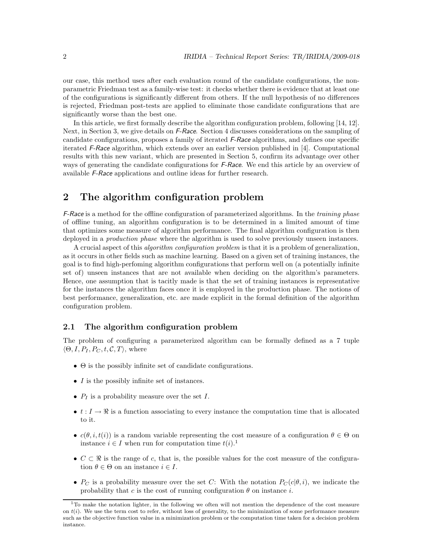our case, this method uses after each evaluation round of the candidate configurations, the nonparametric Friedman test as a family-wise test: it checks whether there is evidence that at least one of the configurations is significantly different from others. If the null hypothesis of no differences is rejected, Friedman post-tests are applied to eliminate those candidate configurations that are significantly worse than the best one.

In this article, we first formally describe the algorithm configuration problem, following [14, 12]. Next, in Section 3, we give details on F-Race. Section 4 discusses considerations on the sampling of candidate configurations, proposes a family of iterated F-Race algorithms, and defines one specific iterated F-Race algorithm, which extends over an earlier version published in [4]. Computational results with this new variant, which are presented in Section 5, confirm its advantage over other ways of generating the candidate configurations for F-Race. We end this article by an overview of available F-Race applications and outline ideas for further research.

## 2 The algorithm configuration problem

F-Race is a method for the offline configuration of parameterized algorithms. In the training phase of offline tuning, an algorithm configuration is to be determined in a limited amount of time that optimizes some measure of algorithm performance. The final algorithm configuration is then deployed in a *production phase* where the algorithm is used to solve previously unseen instances.

A crucial aspect of this algorithm configuration problem is that it is a problem of generalization, as it occurs in other fields such as machine learning. Based on a given set of training instances, the goal is to find high-perfoming algorithm configurations that perform well on (a potentially infinite set of) unseen instances that are not available when deciding on the algorithm's parameters. Hence, one assumption that is tacitly made is that the set of training instances is representative for the instances the algorithm faces once it is employed in the production phase. The notions of best performance, generalization, etc. are made explicit in the formal definition of the algorithm configuration problem.

#### 2.1 The algorithm configuration problem

The problem of configuring a parameterized algorithm can be formally defined as a 7 tuple  $\langle \Theta, I, P_I, P_C, t, \mathcal{C}, T \rangle$ , where

- $\bullet$   $\Theta$  is the possibly infinite set of candidate configurations.
- I is the possibly infinite set of instances.
- $P_I$  is a probability measure over the set  $I$ .
- $t : I \to \mathbb{R}$  is a function associating to every instance the computation time that is allocated to it.
- $c(\theta, i, t(i))$  is a random variable representing the cost measure of a configuration  $\theta \in \Theta$  on instance  $i \in I$  when run for computation time  $t(i)$ .<sup>1</sup>
- $C \subset \Re$  is the range of c, that is, the possible values for the cost measure of the configuration  $\theta \in \Theta$  on an instance  $i \in I$ .
- $P_C$  is a probability measure over the set C: With the notation  $P_C(c|\theta, i)$ , we indicate the probability that c is the cost of running configuration  $\theta$  on instance i.

 $1$ To make the notation lighter, in the following we often will not mention the dependence of the cost measure on  $t(i)$ . We use the term cost to refer, without loss of generality, to the minimization of some performance measure such as the objective function value in a minimization problem or the computation time taken for a decision problem instance.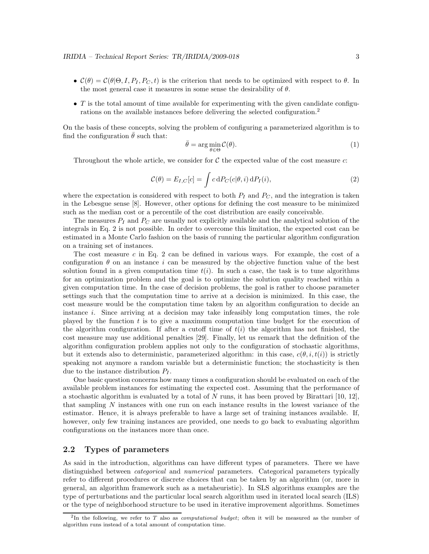- $\mathcal{C}(\theta) = \mathcal{C}(\theta | \Theta, I, P_I, P_C, t)$  is the criterion that needs to be optimized with respect to  $\theta$ . In the most general case it measures in some sense the desirability of  $\theta$ .
- $\bullet$  T is the total amount of time available for experimenting with the given candidate configurations on the available instances before delivering the selected configuration.<sup>2</sup>

On the basis of these concepts, solving the problem of configuring a parameterized algorithm is to find the configuration  $\theta$  such that:

$$
\bar{\theta} = \arg\min_{\theta \in \Theta} \mathcal{C}(\theta). \tag{1}
$$

Throughout the whole article, we consider for  $C$  the expected value of the cost measure c:

$$
\mathcal{C}(\theta) = E_{I,C}[c] = \int c \, dP_C(c|\theta, i) \, dP_I(i),\tag{2}
$$

where the expectation is considered with respect to both  $P_I$  and  $P_C$ , and the integration is taken in the Lebesgue sense [8]. However, other options for defining the cost measure to be minimized such as the median cost or a percentile of the cost distribution are easily conceivable.

The measures  $P_I$  and  $P_C$  are usually not explicitly available and the analytical solution of the integrals in Eq. 2 is not possible. In order to overcome this limitation, the expected cost can be estimated in a Monte Carlo fashion on the basis of running the particular algorithm configuration on a training set of instances.

The cost measure  $c$  in Eq. 2 can be defined in various ways. For example, the cost of a configuration  $\theta$  on an instance i can be measured by the objective function value of the best solution found in a given computation time  $t(i)$ . In such a case, the task is to tune algorithms for an optimization problem and the goal is to optimize the solution quality reached within a given computation time. In the case of decision problems, the goal is rather to choose parameter settings such that the computation time to arrive at a decision is minimized. In this case, the cost measure would be the computation time taken by an algorithm configuration to decide an instance i. Since arriving at a decision may take infeasibly long computation times, the role played by the function  $t$  is to give a maximum computation time budget for the execution of the algorithm configuration. If after a cutoff time of  $t(i)$  the algorithm has not finished, the cost measure may use additional penalties [29]. Finally, let us remark that the definition of the algorithm configuration problem applies not only to the configuration of stochastic algorithms, but it extends also to deterministic, parameterized algorithm: in this case,  $c(\theta, i, t(i))$  is strictly speaking not anymore a random variable but a deterministic function; the stochasticity is then due to the instance distribution  $P_I$ .

One basic question concerns how many times a configuration should be evaluated on each of the available problem instances for estimating the expected cost. Assuming that the performance of a stochastic algorithm is evaluated by a total of N runs, it has been proved by Birattari [10, 12], that sampling N instances with one run on each instance results in the lowest variance of the estimator. Hence, it is always preferable to have a large set of training instances available. If, however, only few training instances are provided, one needs to go back to evaluating algorithm configurations on the instances more than once.

#### 2.2 Types of parameters

As said in the introduction, algorithms can have different types of parameters. There we have distinguished between *categorical* and *numerical* parameters. Categorical parameters typically refer to different procedures or discrete choices that can be taken by an algorithm (or, more in general, an algorithm framework such as a metaheuristic). In SLS algorithms examples are the type of perturbations and the particular local search algorithm used in iterated local search (ILS) or the type of neighborhood structure to be used in iterative improvement algorithms. Sometimes

 ${}^{2}$ In the following, we refer to T also as *computational budget*; often it will be measured as the number of algorithm runs instead of a total amount of computation time.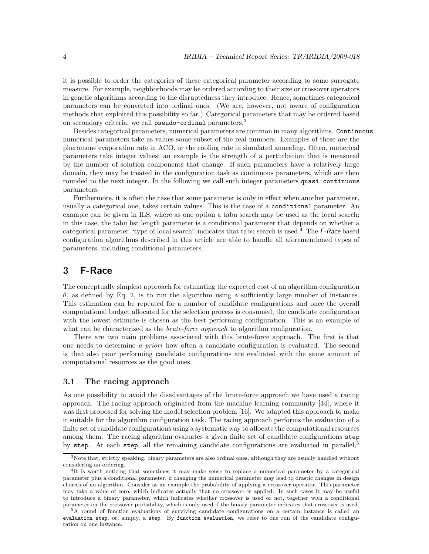it is possible to order the categories of these categorical parameter according to some surrogate measure. For example, neighborhoods may be ordered according to their size or crossover operators in genetic algorithms according to the disruptedness they introduce. Hence, sometimes categorical parameters can be converted into ordinal ones. (We are, however, not aware of configuration methods that exploited this possibility so far.) Categorical parameters that may be ordered based on secondary criteria, we call pseudo-ordinal parameters.<sup>3</sup>

Besides categorical parameters, numerical parameters are common in many algorithms. Continuous numerical parameters take as values some subset of the real numbers. Examples of these are the pheromone evaporation rate in ACO, or the cooling rate in simulated annealing. Often, numerical parameters take integer values; an example is the strength of a perturbation that is measured by the number of solution components that change. If such parameters have a relatively large domain, they may be treated in the configuration task as continuous parameters, which are then rounded to the next integer. In the following we call such integer parameters quasi-continuous parameters.

Furthermore, it is often the case that some parameter is only in effect when another parameter, usually a categorical one, takes certain values. This is the case of a conditional parameter. An example can be given in ILS, where as one option a tabu search may be used as the local search; in this case, the tabu list length parameter is a conditional parameter that depends on whether a categorical parameter "type of local search" indicates that tabu search is used.<sup>4</sup> The F-Race based configuration algorithms described in this article are able to handle all aforementioned types of parameters, including conditional parameters.

## 3 F-Race

The conceptually simplest approach for estimating the expected cost of an algorithm configuration θ, as defined by Eq. 2, is to run the algorithm using a sufficiently large number of instances. This estimation can be repeated for a number of candidate configurations and once the overall computational budget allocated for the selection process is consumed, the candidate configuration with the lowest estimate is chosen as the best performing configuration. This is an example of what can be characterized as the *brute-force approach* to algorithm configuration.

There are two main problems associated with this brute-force approach. The first is that one needs to determine a priori how often a candidate configuration is evaluated. The second is that also poor performing candidate configurations are evaluated with the same amount of computational resources as the good ones.

#### 3.1 The racing approach

As one possibility to avoid the disadvantages of the brute-force approach we have used a racing approach. The racing approach originated from the machine learning community [34], where it was first proposed for solving the model selection problem [16]. We adapted this approach to make it suitable for the algorithm configuration task. The racing approach performs the evaluation of a finite set of candidate configurations using a systematic way to allocate the computational resources among them. The racing algorithm evaluates a given finite set of candidate configurations step by step. At each step, all the remaining candidate configurations are evaluated in parallel,<sup>5</sup>

 $3\text{Note that, strictly speaking, binary parameters are also ordinal ones, although they are usually handled without$ considering an ordering.

<sup>4</sup> It is worth noticing that sometimes it may make sense to replace a numerical parameter by a categorical parameter plus a conditional parameter, if changing the numerical parameter may lead to drastic changes in design choices of an algorithm. Consider as an example the probability of applying a crossover operator. This parameter may take a value of zero, which indicates actually that no crossover is applied. In such cases it may be useful to introduce a binary parameter, which indicates whether crossover is used or not, together with a conditional parameter on the crossover probability, which is only used if the binary parameter indicates that crossover is used.

<sup>5</sup>A round of function evaluations of surviving candidate configurations on a certain instance is called an evaluation step, or, simply, a step. By function evaluation, we refer to one run of the candidate configuration on one instance.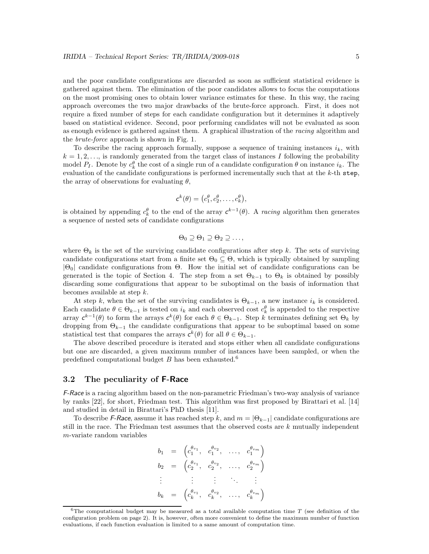and the poor candidate configurations are discarded as soon as sufficient statistical evidence is gathered against them. The elimination of the poor candidates allows to focus the computations on the most promising ones to obtain lower variance estimates for these. In this way, the racing approach overcomes the two major drawbacks of the brute-force approach. First, it does not require a fixed number of steps for each candidate configuration but it determines it adaptively based on statistical evidence. Second, poor performing candidates will not be evaluated as soon as enough evidence is gathered against them. A graphical illustration of the racing algorithm and the brute-force approach is shown in Fig. 1.

To describe the racing approach formally, suppose a sequence of training instances  $i_k$ , with  $k = 1, 2, \ldots$ , is randomly generated from the target class of instances I following the probability model  $P_I$ . Denote by  $c_k^{\theta}$  the cost of a single run of a candidate configuration  $\theta$  on instance  $i_k$ . The evaluation of the candidate configurations is performed incrementally such that at the k-th step, the array of observations for evaluating  $\theta$ ,

$$
c^k(\theta) = \big(c_1^{\theta}, c_2^{\theta}, \ldots, c_k^{\theta}\big),
$$

is obtained by appending  $c_k^{\theta}$  to the end of the array  $c^{k-1}(\theta)$ . A racing algorithm then generates a sequence of nested sets of candidate configurations

$$
\Theta_0 \supseteq \Theta_1 \supseteq \Theta_2 \supseteq \ldots,
$$

where  $\Theta_k$  is the set of the surviving candidate configurations after step k. The sets of surviving candidate configurations start from a finite set  $\Theta_0 \subseteq \Theta$ , which is typically obtained by sampling  $|\Theta_0|$  candidate configurations from  $\Theta$ . How the initial set of candidate configurations can be generated is the topic of Section 4. The step from a set  $\Theta_{k-1}$  to  $\Theta_k$  is obtained by possibly discarding some configurations that appear to be suboptimal on the basis of information that becomes available at step  $k$ .

At step k, when the set of the surviving candidates is  $\Theta_{k-1}$ , a new instance  $i_k$  is considered. Each candidate  $\theta \in \Theta_{k-1}$  is tested on  $i_k$  and each observed cost  $c_k^{\theta}$  is appended to the respective array  $c^{k-1}(\theta)$  to form the arrays  $c^k(\theta)$  for each  $\theta \in \Theta_{k-1}$ . Step k terminates defining set  $\Theta_k$  by dropping from  $\Theta_{k-1}$  the candidate configurations that appear to be suboptimal based on some statistical test that compares the arrays  $c^k(\theta)$  for all  $\theta \in \Theta_{k-1}$ .

The above described procedure is iterated and stops either when all candidate configurations but one are discarded, a given maximum number of instances have been sampled, or when the predefined computational budget  $B$  has been exhausted.<sup>6</sup>

#### 3.2 The peculiarity of F-Race

F-Race is a racing algorithm based on the non-parametric Friedman's two-way analysis of variance by ranks [22], for short, Friedman test. This algorithm was first proposed by Birattari et al. [14] and studied in detail in Birattari's PhD thesis [11].

To describe F-Race, assume it has reached step k, and  $m = |\Theta_{k-1}|$  candidate configurations are still in the race. The Friedman test assumes that the observed costs are  $k$  mutually independent m-variate random variables

$$
b_1 = \begin{pmatrix} c_1^{\theta_{v_1}}, & c_1^{\theta_{v_2}}, & \dots, & c_1^{\theta_{v_m}} \end{pmatrix}
$$
  
\n
$$
b_2 = \begin{pmatrix} c_2^{\theta_{v_1}}, & c_2^{\theta_{v_2}}, & \dots, & c_2^{\theta_{v_m}} \end{pmatrix}
$$
  
\n
$$
\vdots \qquad \vdots \qquad \vdots \qquad \ddots \qquad \vdots
$$
  
\n
$$
b_k = \begin{pmatrix} c_k^{\theta_{v_1}}, & c_k^{\theta_{v_2}}, & \dots, & c_k^{\theta_{v_m}} \end{pmatrix}
$$

 $6$ The computational budget may be measured as a total available computation time T (see definition of the configuration problem on page 2). It is, however, often more convenient to define the maximum number of function evaluations, if each function evaluation is limited to a same amount of computation time.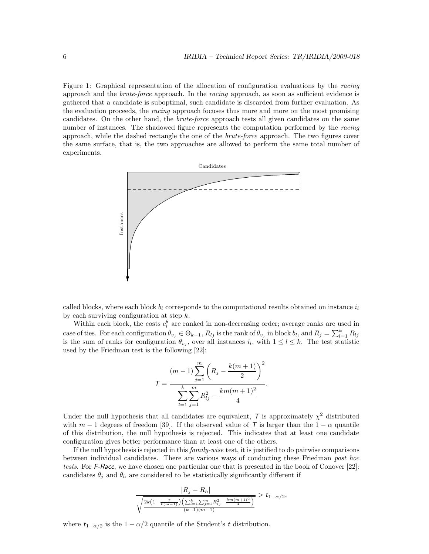Figure 1: Graphical representation of the allocation of configuration evaluations by the racing approach and the brute-force approach. In the racing approach, as soon as sufficient evidence is gathered that a candidate is suboptimal, such candidate is discarded from further evaluation. As the evaluation proceeds, the *racing* approach focuses thus more and more on the most promising candidates. On the other hand, the brute-force approach tests all given candidates on the same number of instances. The shadowed figure represents the computation performed by the racing approach, while the dashed rectangle the one of the brute-force approach. The two figures cover the same surface, that is, the two approaches are allowed to perform the same total number of experiments.



called blocks, where each block  $b_l$  corresponds to the computational results obtained on instance  $i_l$ by each surviving configuration at step  $k$ .

Within each block, the costs  $c_l^{\theta}$  are ranked in non-decreasing order; average ranks are used in case of ties. For each configuration  $\theta_{v_j} \in \Theta_{k-1}$ ,  $R_{lj}$  is the rank of  $\theta_{v_j}$  in block  $b_l$ , and  $R_j = \sum_{l=1}^k R_{lj}$ is the sum of ranks for configuration  $\theta_{v_j}$ , over all instances  $i_l$ , with  $1 \leq l \leq k$ . The test statistic used by the Friedman test is the following [22]:

$$
T = \frac{(m-1)\sum_{j=1}^{m} \left(R_j - \frac{k(m+1)}{2}\right)^2}{\sum_{l=1}^{k} \sum_{j=1}^{m} R_{lj}^2 - \frac{km(m+1)^2}{4}}.
$$

Under the null hypothesis that all candidates are equivalent,  $\mathcal T$  is approximately  $\chi^2$  distributed with  $m-1$  degrees of freedom [39]. If the observed value of T is larger than the  $1-\alpha$  quantile of this distribution, the null hypothesis is rejected. This indicates that at least one candidate configuration gives better performance than at least one of the others.

If the null hypothesis is rejected in this family-wise test, it is justified to do pairwise comparisons between individual candidates. There are various ways of conducting these Friedman post hoc tests. For F-Race, we have chosen one particular one that is presented in the book of Conover [22]: candidates  $\theta_j$  and  $\theta_h$  are considered to be statistically significantly different if

$$
\frac{|R_j - R_h|}{\sqrt{\frac{2k(1 - \frac{T}{k(m-1)})(\sum_{l=1}^k \sum_{j=1}^m R_{lj}^2 - \frac{km(m+1)^2}{4})}{(k-1)(m-1)}}} > t_{1-\alpha/2},
$$

where  $t_{1-\alpha/2}$  is the  $1-\alpha/2$  quantile of the Student's t distribution.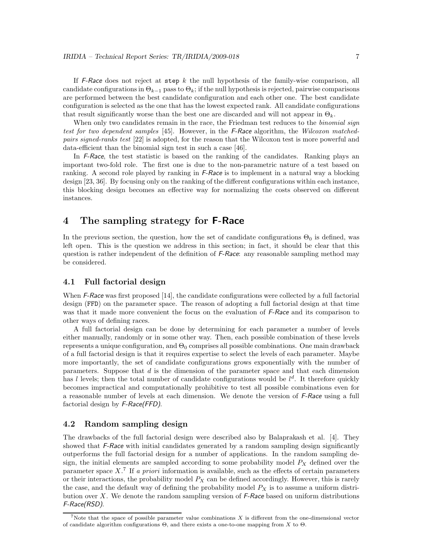If  $F$ -Race does not reject at step k the null hypothesis of the family-wise comparison, all candidate configurations in  $\Theta_{k-1}$  pass to  $\Theta_k$ ; if the null hypothesis is rejected, pairwise comparisons are performed between the best candidate configuration and each other one. The best candidate configuration is selected as the one that has the lowest expected rank. All candidate configurations that result significantly worse than the best one are discarded and will not appear in  $\Theta_k$ .

When only two candidates remain in the race, the Friedman test reduces to the *binomial sign* test for two dependent samples [45]. However, in the F-Race algorithm, the Wilcoxon matchedpairs signed-ranks test [22] is adopted, for the reason that the Wilcoxon test is more powerful and data-efficient than the binomial sign test in such a case [46].

In F-Race, the test statistic is based on the ranking of the candidates. Ranking plays an important two-fold role. The first one is due to the non-parametric nature of a test based on ranking. A second role played by ranking in  $F$ -Race is to implement in a natural way a blocking design [23, 36]. By focusing only on the ranking of the different configurations within each instance, this blocking design becomes an effective way for normalizing the costs observed on different instances.

## 4 The sampling strategy for F-Race

In the previous section, the question, how the set of candidate configurations  $\Theta_0$  is defined, was left open. This is the question we address in this section; in fact, it should be clear that this question is rather independent of the definition of F-Race: any reasonable sampling method may be considered.

#### 4.1 Full factorial design

When F-Race was first proposed [14], the candidate configurations were collected by a full factorial design (FFD) on the parameter space. The reason of adopting a full factorial design at that time was that it made more convenient the focus on the evaluation of F-Race and its comparison to other ways of defining races.

A full factorial design can be done by determining for each parameter a number of levels either manually, randomly or in some other way. Then, each possible combination of these levels represents a unique configuration, and  $\Theta_0$  comprises all possible combinations. One main drawback of a full factorial design is that it requires expertise to select the levels of each parameter. Maybe more importantly, the set of candidate configurations grows exponentially with the number of parameters. Suppose that  $d$  is the dimension of the parameter space and that each dimension has l levels; then the total number of candidate configurations would be  $l^d$ . It therefore quickly becomes impractical and computationally prohibitive to test all possible combinations even for a reasonable number of levels at each dimension. We denote the version of F-Race using a full factorial design by F-Race(FFD).

#### 4.2 Random sampling design

The drawbacks of the full factorial design were described also by Balaprakash et al. [4]. They showed that  $F-R$  is with initial candidates generated by a random sampling design significantly outperforms the full factorial design for a number of applications. In the random sampling design, the initial elements are sampled according to some probability model  $P_X$  defined over the parameter space  $X$ .<sup>7</sup> If a priori information is available, such as the effects of certain parameters or their interactions, the probability model  $P_X$  can be defined accordingly. However, this is rarely the case, and the default way of defining the probability model  $P_X$  is to assume a uniform distribution over X. We denote the random sampling version of  $F$ -Race based on uniform distributions F-Race(RSD).

<sup>&</sup>lt;sup>7</sup>Note that the space of possible parameter value combinations  $X$  is different from the one-dimensional vector of candidate algorithm configurations Θ, and there exists a one-to-one mapping from X to Θ.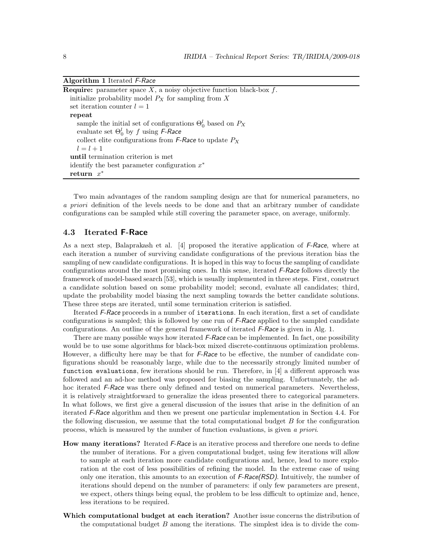Algorithm 1 Iterated F-Race

| <b>Require:</b> parameter space X, a noisy objective function black-box $f$ . |
|-------------------------------------------------------------------------------|
| initialize probability model $P_X$ for sampling from X                        |
| set iteration counter $l = 1$                                                 |
| repeat                                                                        |
| sample the initial set of configurations $\Theta_0^l$ based on $P_X$          |
| evaluate set $\Theta_0^l$ by f using F-Race                                   |
| collect elite configurations from <i>F-Race</i> to update $P_X$               |
| $l = l + 1$                                                                   |
| until termination criterion is met                                            |
| identify the best parameter configuration $x^*$                               |
| return $x^*$                                                                  |

Two main advantages of the random sampling design are that for numerical parameters, no a priori definition of the levels needs to be done and that an arbitrary number of candidate configurations can be sampled while still covering the parameter space, on average, uniformly.

#### 4.3 Iterated F-Race

As a next step, Balaprakash et al.  $[4]$  proposed the iterative application of F-Race, where at each iteration a number of surviving candidate configurations of the previous iteration bias the sampling of new candidate configurations. It is hoped in this way to focus the sampling of candidate configurations around the most promising ones. In this sense, iterated  $\mathcal{F}$ -Race follows directly the framework of model-based search [53], which is usually implemented in three steps. First, construct a candidate solution based on some probability model; second, evaluate all candidates; third, update the probability model biasing the next sampling towards the better candidate solutions. These three steps are iterated, until some termination criterion is satisfied.

Iterated F-Race proceeds in a number of iterations. In each iteration, first a set of candidate configurations is sampled; this is followed by one run of  $F$ -Race applied to the sampled candidate configurations. An outline of the general framework of iterated *F-Race* is given in Alg. 1.

There are many possible ways how iterated F-Race can be implemented. In fact, one possibility would be to use some algorithms for black-box mixed discrete-continuous optimization problems. However, a difficulty here may be that for *F-Race* to be effective, the number of candidate configurations should be reasonably large, while due to the necessarily strongly limited number of function evaluations, few iterations should be run. Therefore, in [4] a different approach was followed and an ad-hoc method was proposed for biasing the sampling. Unfortunately, the adhoc iterated F-Race was there only defined and tested on numerical parameters. Nevertheless, it is relatively straightforward to generalize the ideas presented there to categorical parameters. In what follows, we first give a general discussion of the issues that arise in the definition of an iterated F-Race algorithm and then we present one particular implementation in Section 4.4. For the following discussion, we assume that the total computational budget  $B$  for the configuration process, which is measured by the number of function evaluations, is given a priori.

- How many iterations? Iterated F-Race is an iterative process and therefore one needs to define the number of iterations. For a given computational budget, using few iterations will allow to sample at each iteration more candidate configurations and, hence, lead to more exploration at the cost of less possibilities of refining the model. In the extreme case of using only one iteration, this amounts to an execution of  $F$ -Race(RSD). Intuitively, the number of iterations should depend on the number of parameters: if only few parameters are present, we expect, others things being equal, the problem to be less difficult to optimize and, hence, less iterations to be required.
- Which computational budget at each iteration? Another issue concerns the distribution of the computational budget  $B$  among the iterations. The simplest idea is to divide the com-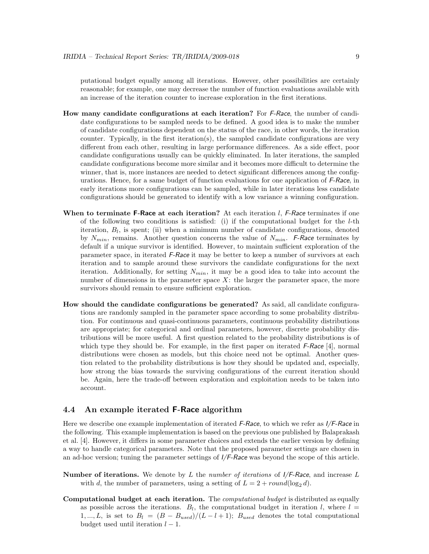putational budget equally among all iterations. However, other possibilities are certainly reasonable; for example, one may decrease the number of function evaluations available with an increase of the iteration counter to increase exploration in the first iterations.

- How many candidate configurations at each iteration? For F-Race, the number of candidate configurations to be sampled needs to be defined. A good idea is to make the number of candidate configurations dependent on the status of the race, in other words, the iteration counter. Typically, in the first iteration(s), the sampled candidate configurations are very different from each other, resulting in large performance differences. As a side effect, poor candidate configurations usually can be quickly eliminated. In later iterations, the sampled candidate configurations become more similar and it becomes more difficult to determine the winner, that is, more instances are needed to detect significant differences among the configurations. Hence, for a same budget of function evaluations for one application of F-Race, in early iterations more configurations can be sampled, while in later iterations less candidate configurations should be generated to identify with a low variance a winning configuration.
- When to terminate F-Race at each iteration? At each iteration  $l$ , F-Race terminates if one of the following two conditions is satisfied: (i) if the computational budget for the  $l$ -th iteration,  $B_l$ , is spent; (ii) when a minimum number of candidate configurations, denoted by  $N_{min}$ , remains. Another question concerns the value of  $N_{min}$ . F-Race terminates by default if a unique survivor is identified. However, to maintain sufficient exploration of the parameter space, in iterated F-Race it may be better to keep a number of survivors at each iteration and to sample around these survivors the candidate configurations for the next iteration. Additionally, for setting  $N_{min}$ , it may be a good idea to take into account the number of dimensions in the parameter space  $X$ : the larger the parameter space, the more survivors should remain to ensure sufficient exploration.
- How should the candidate configurations be generated? As said, all candidate configurations are randomly sampled in the parameter space according to some probability distribution. For continuous and quasi-continuous parameters, continuous probability distributions are appropriate; for categorical and ordinal parameters, however, discrete probability distributions will be more useful. A first question related to the probability distributions is of which type they should be. For example, in the first paper on iterated  $F$ -Race [4], normal distributions were chosen as models, but this choice need not be optimal. Another question related to the probability distributions is how they should be updated and, especially, how strong the bias towards the surviving configurations of the current iteration should be. Again, here the trade-off between exploration and exploitation needs to be taken into account.

#### 4.4 An example iterated F-Race algorithm

Here we describe one example implementation of iterated F-Race, to which we refer as  $I/F$ -Race in the following. This example implementation is based on the previous one published by Balaprakash et al. [4]. However, it differs in some parameter choices and extends the earlier version by defining a way to handle categorical parameters. Note that the proposed parameter settings are chosen in an ad-hoc version; tuning the parameter settings of  $I/F$ -Race was beyond the scope of this article.

- **Number of iterations.** We denote by L the number of iterations of  $I/F$ -Race, and increase L with d, the number of parameters, using a setting of  $L = 2 + round(\log_2 d)$ .
- Computational budget at each iteration. The computational budget is distributed as equally as possible across the iterations.  $B_l$ , the computational budget in iteration l, where  $l =$ 1, ..., L, is set to  $B_l = (B - B_{used})/(L - l + 1)$ ;  $B_{used}$  denotes the total computational budget used until iteration  $l - 1$ .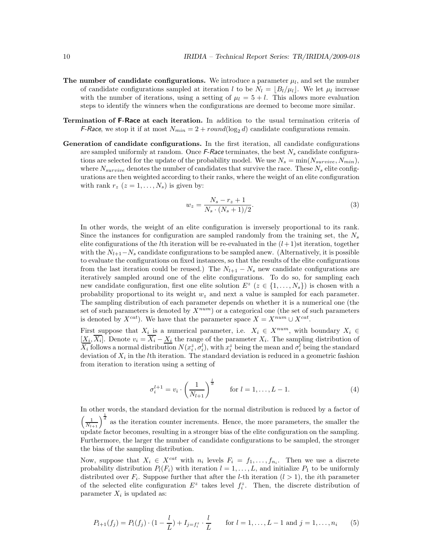- The number of candidate configurations. We introduce a parameter  $\mu_l$ , and set the number of candidate configurations sampled at iteration l to be  $N_l = \lfloor B_l/\mu_l \rfloor$ . We let  $\mu_l$  increase with the number of iterations, using a setting of  $\mu_l = 5 + l$ . This allows more evaluation steps to identify the winners when the configurations are deemed to become more similar.
- Termination of F-Race at each iteration. In addition to the usual termination criteria of *F-Race*, we stop it if at most  $N_{min} = 2 + round(log_2 d)$  candidate configurations remain.
- Generation of candidate configurations. In the first iteration, all candidate configurations are sampled uniformly at random. Once  $F$ -Race terminates, the best  $N_s$  candidate configurations are selected for the update of the probability model. We use  $N_s = \min(N_{survive}, N_{min}),$ where  $N_{survive}$  denotes the number of candidates that survive the race. These  $N_s$  elite configurations are then weighted according to their ranks, where the weight of an elite configuration with rank  $r_z$   $(z = 1, \ldots, N_s)$  is given by:

$$
w_z = \frac{N_s - r_z + 1}{N_s \cdot (N_s + 1)/2}.\tag{3}
$$

In other words, the weight of an elite configuration is inversely proportional to its rank. Since the instances for configuration are sampled randomly from the training set, the  $N_s$ elite configurations of the *l*th iteration will be re-evaluated in the  $(l+1)$ st iteration, together with the  $N_{l+1}-N_s$  candidate configurations to be sampled anew. (Alternatively, it is possible to evaluate the configurations on fixed instances, so that the results of the elite configurations from the last iteration could be reused.) The  $N_{l+1} - N_s$  new candidate configurations are iteratively sampled around one of the elite configurations. To do so, for sampling each new candidate configuration, first one elite solution  $E^z$   $(z \in \{1, ..., N_s\})$  is chosen with a probability proportional to its weight  $w_z$  and next a value is sampled for each parameter. The sampling distribution of each parameter depends on whether it is a numerical one (the set of such parameters is denoted by  $X^{num}$ ) or a categorical one (the set of such parameters is denoted by  $X^{cat}$ ). We have that the parameter space  $X = X^{num} \cup X^{cat}$ .

First suppose that  $X_i$  is a numerical parameter, i.e.  $X_i \in X^{num}$ , with boundary  $X_i \in$  $[X_i, X_i]$ . Denote  $v_i = X_i - \underline{X_i}$  the range of the parameter  $X_i$ . The sampling distribution of  $\overline{X_i}$  follows a normal distribution  $N(x_i^z, \sigma_i^l)$ , with  $x_i^z$  being the mean and  $\sigma_i^l$  being the standard deviation of  $X_i$  in the *l*<sup>th</sup> iteration. The standard deviation is reduced in a geometric fashion from iteration to iteration using a setting of

$$
\sigma_i^{l+1} = v_i \cdot \left(\frac{1}{N_{l+1}}\right)^{\frac{l}{d}} \quad \text{for } l = 1, \dots, L-1.
$$
 (4)

In other words, the standard deviation for the normal distribution is reduced by a factor of  $\left(\frac{1}{N_{t+1}}\right)^{\frac{1}{d}}$  as the iteration counter increments. Hence, the more parameters, the smaller the update factor becomes, resulting in a stronger bias of the elite configuration on the sampling. Furthermore, the larger the number of candidate configurations to be sampled, the stronger the bias of the sampling distribution.

Now, suppose that  $X_i \in X^{cat}$  with  $n_i$  levels  $F_i = f_1, \ldots, f_{n_i}$ . Then we use a discrete probability distribution  $P_l(F_i)$  with iteration  $l = 1, ..., L$ , and initialize  $P_1$  to be uniformly distributed over  $F_i$ . Suppose further that after the *l*-th iteration  $(l > 1)$ , the *i*th parameter of the selected elite configuration  $E^z$  takes level  $f_i^z$ . Then, the discrete distribution of parameter  $X_i$  is updated as:

$$
P_{l+1}(f_j) = P_l(f_j) \cdot (1 - \frac{l}{L}) + I_{j=f_i^z} \cdot \frac{l}{L} \quad \text{for } l = 1, ..., L-1 \text{ and } j = 1, ..., n_i \quad (5)
$$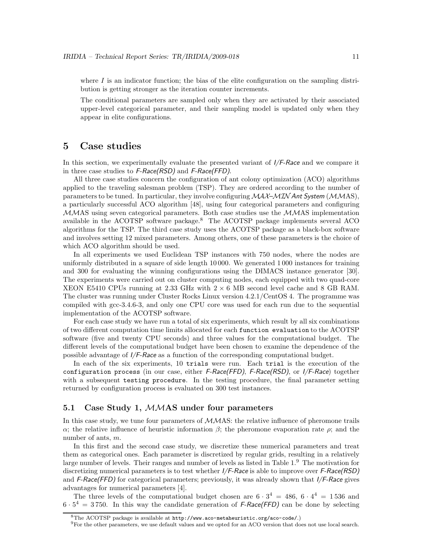where  $I$  is an indicator function; the bias of the elite configuration on the sampling distribution is getting stronger as the iteration counter increments.

The conditional parameters are sampled only when they are activated by their associated upper-level categorical parameter, and their sampling model is updated only when they appear in elite configurations.

#### 5 Case studies

In this section, we experimentally evaluate the presented variant of  $I/F$ -Race and we compare it in three case studies to  $F$ -Race(RSD) and  $F$ -Race(FFD).

All three case studies concern the configuration of ant colony optimization (ACO) algorithms applied to the traveling salesman problem (TSP). They are ordered according to the number of parameters to be tuned. In particular, they involve configuring  $MAX-MIN$  Ant System ( $MMS$ ), a particularly successful ACO algorithm [48], using four categorical parameters and configuring  $MMS$  using seven categorical parameters. Both case studies use the  $MMS$  implementation available in the ACOTSP software package.<sup>8</sup> The ACOTSP package implements several ACO algorithms for the TSP. The third case study uses the ACOTSP package as a black-box software and involves setting 12 mixed parameters. Among others, one of these parameters is the choice of which ACO algorithm should be used.

In all experiments we used Euclidean TSP instances with 750 nodes, where the nodes are uniformly distributed in a square of side length 10 000. We generated 1 000 instances for training and 300 for evaluating the winning configurations using the DIMACS instance generator [30]. The experiments were carried out on cluster computing nodes, each equipped with two quad-core XEON E5410 CPUs running at 2.33 GHz with  $2 \times 6$  MB second level cache and 8 GB RAM. The cluster was running under Cluster Rocks Linux version 4.2.1/CentOS 4. The programme was compiled with gcc-3.4.6-3, and only one CPU core was used for each run due to the sequential implementation of the ACOTSP software.

For each case study we have run a total of six experiments, which result by all six combinations of two different computation time limits allocated for each function evaluation to the ACOTSP software (five and twenty CPU seconds) and three values for the computational budget. The different levels of the computational budget have been chosen to examine the dependence of the possible advantage of I/F-Race as a function of the corresponding computational budget.

In each of the six experiments, 10 trials were run. Each trial is the execution of the configuration process (in our case, either F-Race(FFD), F-Race(RSD), or I/F-Race) together with a subsequent testing procedure. In the testing procedure, the final parameter setting returned by configuration process is evaluated on 300 test instances.

#### 5.1 Case Study 1, MMAS under four parameters

In this case study, we tune four parameters of  $MMS$ : the relative influence of pheromone trails α; the relative influence of heuristic information  $\beta$ ; the pheromone evaporation rate  $\rho$ ; and the number of ants, m.

In this first and the second case study, we discretize these numerical parameters and treat them as categorical ones. Each parameter is discretized by regular grids, resulting in a relatively large number of levels. Their ranges and number of levels as listed in Table 1.<sup>9</sup> The motivation for discretizing numerical parameters is to test whether  $I/F$ -Race is able to improve over  $F$ -Race(RSD) and  $F-Race(FFD)$  for categorical parameters; previously, it was already shown that  $I/F-Race$  gives advantages for numerical parameters [4].

The three levels of the computational budget chosen are  $6 \cdot 3^4 = 486, 6 \cdot 4^4 = 1536$  and  $6 \cdot 5^4 = 3750$ . In this way the candidate generation of F-Race(FFD) can be done by selecting

<sup>8</sup>The ACOTSP package is available at http://www.aco-metaheuristic.org/aco-code/.)

<sup>9</sup>For the other parameters, we use default values and we opted for an ACO version that does not use local search.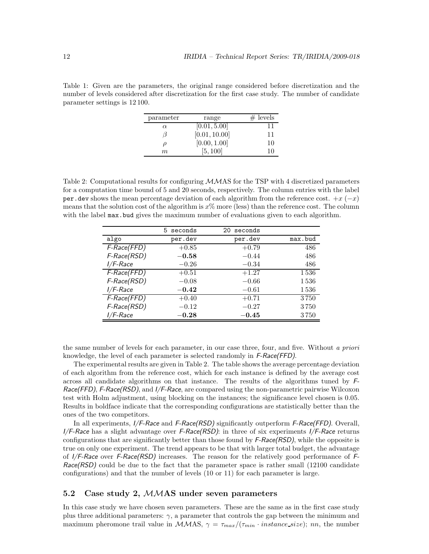Table 1: Given are the parameters, the original range considered before discretization and the number of levels considered after discretization for the first case study. The number of candidate parameter settings is 12 100.

| parameter | range         | $#$ levels |
|-----------|---------------|------------|
| $\alpha$  | [0.01, 5.00]  | 11         |
|           | [0.01, 10.00] | 11         |
| D         | [0.00, 1.00]  | 10         |
| m         | [5, 100]      | 10         |
|           |               |            |

Table 2: Computational results for configuring MMAS for the TSP with 4 discretized parameters for a computation time bound of 5 and 20 seconds, respectively. The column entries with the label per.dev shows the mean percentage deviation of each algorithm from the reference cost.  $+x$  ( $-x$ ) means that the solution cost of the algorithm is  $x\%$  more (less) than the reference cost. The column with the label max.bud gives the maximum number of evaluations given to each algorithm.

|                 | 5 seconds   | seconds<br>20 |         |
|-----------------|-------------|---------------|---------|
| algo            | per.dev     | per.dev       | max.bud |
| F-Race(FFD)     | $+0.85$     | $+0.79$       | 486     |
| F-Race(RSD)     | $-0.58$     | $-0.44$       | 486     |
| <i>I/F-Race</i> | $-0.26$     | $-0.34$       | 486     |
| F-Race(FFD)     | $+0.51$     | $+1.27$       | 1536    |
| F-Race(RSD)     | $-0.08$     | $-0.66$       | 1536    |
| I/F-Race        | $-0.42$     | $-0.61$       | 1536    |
| F-Race(FFD)     | $+0.40$     | $+0.71$       | 3750    |
| F-Race(RSD)     | $-0.12$     | $-0.27$       | 3750    |
| <i>I/F-Race</i> | $\bf -0.28$ | $-0.45$       | 3750    |

the same number of levels for each parameter, in our case three, four, and five. Without a priori knowledge, the level of each parameter is selected randomly in F-Race(FFD).

The experimental results are given in Table 2. The table shows the average percentage deviation of each algorithm from the reference cost, which for each instance is defined by the average cost across all candidate algorithms on that instance. The results of the algorithms tuned by F-Race(FFD), F-Race(RSD), and  $I/F$ -Race, are compared using the non-parametric pairwise Wilcoxon test with Holm adjustment, using blocking on the instances; the significance level chosen is 0.05. Results in boldface indicate that the corresponding configurations are statistically better than the ones of the two competitors.

In all experiments,  $I/F$ -Race and F-Race(RSD) significantly outperform F-Race(FFD). Overall,  $I/F$ -Race has a slight advantage over F-Race(RSD): in three of six experiments  $I/F$ -Race returns configurations that are significantly better than those found by  $F\text{-}Race(RSD)$ , while the opposite is true on only one experiment. The trend appears to be that with larger total budget, the advantage of I/F-Race over F-Race(RSD) increases. The reason for the relatively good performance of F- $Race(RSD)$  could be due to the fact that the parameter space is rather small (12100 candidate configurations) and that the number of levels (10 or 11) for each parameter is large.

#### 5.2 Case study 2, MMAS under seven parameters

In this case study we have chosen seven parameters. These are the same as in the first case study plus three additional parameters:  $\gamma$ , a parameter that controls the gap between the minimum and maximum pheromone trail value in  $MMS$ ,  $\gamma = \tau_{max}/(\tau_{min} \cdot instance\_size)$ ; nn, the number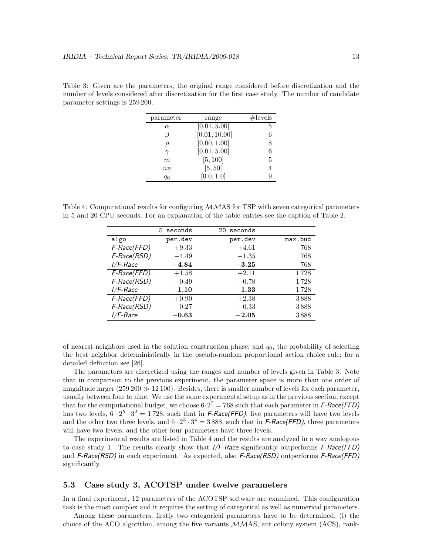Table 3: Given are the parameters, the original range considered before discretization and the number of levels considered after discretization for the first case study. The number of candidate parameter settings is 259 200.

| parameter | range         | #levels |
|-----------|---------------|---------|
| $\alpha$  | [0.01, 5.00]  | 5       |
| В         | [0.01, 10.00] | 6       |
| D         | [0.00, 1.00]  | 8       |
| $\gamma$  | [0.01, 5.00]  | 6       |
| m         | [5, 100]      | 5       |
| nn        | [5, 50]       |         |
| q0        | [0.0, 1.0]    |         |

Table 4: Computational results for configuring  $MMS$  for TSP with seven categorical parameters in 5 and 20 CPU seconds. For an explanation of the table entries see the caption of Table 2.

|                 | 5 seconds | seconds<br>20 |         |
|-----------------|-----------|---------------|---------|
| algo            | per.dev   | per.dev       | max.bud |
| F-Race(FFD)     | $+9.33$   | $+4.61$       | 768     |
| F-Race(RSD)     | $-4.49$   | $-1.35$       | 768     |
| <i>I/F-Race</i> | $-4.84$   | $-3.25$       | 768     |
| F-Race(FFD)     | $+1.58$   | $+2.11$       | 1728    |
| F-Race(RSD)     | $-0.49$   | $-0.78$       | 1728    |
| <i>I/F-Race</i> | $-1.10$   | $-1.33$       | 1728    |
| F-Race(FFD)     | $+0.90$   | $+2.38$       | 3888    |
| F-Race(RSD)     | $-0.27$   | $-0.33$       | 3888    |
| I/F-Race        | $-0.63$   | $-2.05$       | 3888    |

of nearest neighbors used in the solution construction phase; and  $q_0$ , the probability of selecting the best neighbor deterministically in the pseudo-random proportional action choice rule; for a detailed definition see [26].

The parameters are discretized using the ranges and number of levels given in Table 3. Note that in comparison to the previous experiment, the parameter space is more than one order of magnitude larger  $(259\,200 \gg 12\,100)$ . Besides, there is smaller number of levels for each parameter, usually between four to nine. We use the same experimental setup as in the previous section, except that for the computational budget, we choose  $6 \cdot 2^7 = 768$  such that each parameter in F-Race(FFD) has two levels,  $6 \cdot 2^5 \cdot 3^2 = 1728$ , such that in F-Race(FFD), five parameters will have two levels and the other two three levels, and  $6 \cdot 2^3 \cdot 3^4 = 3888$ , such that in F-Race(FFD), three parameters will have two levels, and the other four parameters have three levels.

The experimental results are listed in Table 4 and the results are analyzed in a way analogous to case study 1. The results clearly show that  $I/F$ -Race significantly outperforms  $F$ -Race(FFD) and  $F\text{-}Race(RSD)$  in each experiment. As expected, also  $F\text{-}Race(RSD)$  outperforms  $F\text{-}Race(FED)$ significantly.

#### 5.3 Case study 3, ACOTSP under twelve parameters

In a final experiment, 12 parameters of the ACOTSP software are examined. This configuration task is the most complex and it requires the setting of categorical as well as numerical parameters.

Among these parameters, firstly two categorical parameters have to be determined, (i) the choice of the ACO algorithm, among the five variants  $MMS$ , ant colony system (ACS), rank-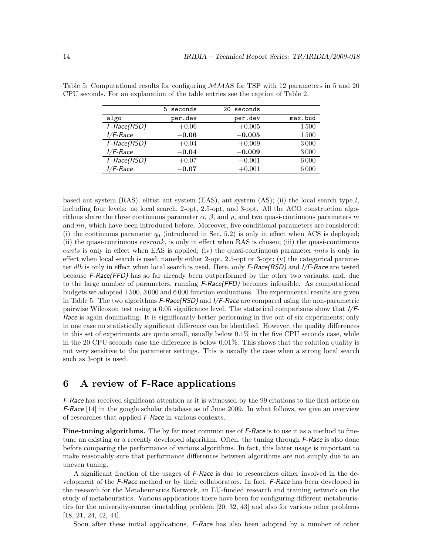|             | 5 seconds | 20 seconds |         |
|-------------|-----------|------------|---------|
| algo        | per.dev   | per.dev    | max.bud |
| F-Race(RSD) | $+0.06$   | $+0.005$   | 1500    |
| $I/F$ -Race | $-0.06$   | $-0.005$   | 1500    |
| F-Race(RSD) | $+0.04$   | $+0.009$   | 3000    |
| $I/F$ -Race | $-0.04$   | $-0.009$   | 3000    |
| F-Race(RSD) | $+0.07$   | $-0.001$   | 6000    |
| $I/F$ -Race | $-0.07$   | $+0.001$   | 6000    |

Table 5: Computational results for configuring MMAS for TSP with 12 parameters in 5 and 20 CPU seconds. For an explanation of the table entries see the caption of Table 2.

based ant system (RAS), elitist ant system (EAS), ant system (AS); (ii) the local search type  $l$ , including four levels: no local search, 2-opt, 2.5-opt, and 3-opt. All the ACO construction algorithms share the three continuous parameter  $\alpha$ ,  $\beta$ , and  $\rho$ , and two quasi-continuous parameters m and nn, which have been introduced before. Moreover, five conditional parameters are considered: (i) the continuous parameter  $q_0$  (introduced in Sec. 5.2) is only in effect when ACS is deployed; (ii) the quasi-continuous  $rasrank$ , is only in effect when RAS is chosen; (iii) the quasi-continuous eants is only in effect when EAS is applied; (iv) the quasi-continuous parameter nnls is only in effect when local search is used, namely either 2-opt, 2.5-opt or 3-opt;  $(v)$  the categorical parameter dlb is only in effect when local search is used. Here, only  $F$ -Race(RSD) and  $I/F$ -Race are tested because F-Race(FFD) has so far already been outperformed by the other two variants, and, due to the large number of parameters, running F-Race(FFD) becomes infeasible. As computational budgets we adopted 1 500, 3 000 and 6 000 function evaluations. The experimental results are given in Table 5. The two algorithms  $F\text{-}Race(RSD)$  and  $I/F\text{-}Race$  are compared using the non-parametric pairwise Wilcoxon test using a 0.05 significance level. The statistical comparisons show that I/F-Race is again dominating. It is significantly better performing in five out of six experiments; only in one case no statistically significant difference can be identified. However, the quality differences in this set of experiments are quite small, usually below  $0.1\%$  in the five CPU seconds case, while in the 20 CPU seconds case the difference is below 0.01%. This shows that the solution quality is not very sensitive to the parameter settings. This is usually the case when a strong local search such as 3-opt is used.

## 6 A review of F-Race applications

F-Race has received significant attention as it is witnessed by the 99 citations to the first article on F-Race [14] in the google scholar database as of June 2009. In what follows, we give an overview of researches that applied F-Race in various contexts.

Fine-tuning algorithms. The by far most common use of F-Race is to use it as a method to finetune an existing or a recently developed algorithm. Often, the tuning through *F-Race* is also done before comparing the performance of various algorithms. In fact, this latter usage is important to make reasonably sure that performance differences between algorithms are not simply due to an uneven tuning.

A significant fraction of the usages of F-Race is due to researchers either involved in the development of the F-Race method or by their collaborators. In fact, F-Race has been developed in the research for the Metaheuristics Network, an EU-funded research and training network on the study of metaheuristics. Various applications there have been for configuring different metaheuristics for the university-course timetabling problem [20, 32, 43] and also for various other problems [18, 21, 24, 42, 44].

Soon after these initial applications, F-Race has also been adopted by a number of other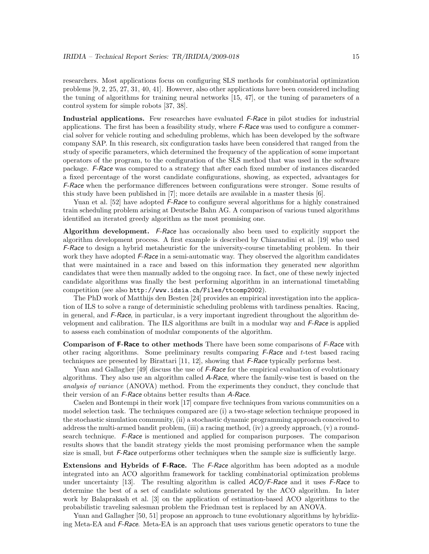researchers. Most applications focus on configuring SLS methods for combinatorial optimization problems [9, 2, 25, 27, 31, 40, 41]. However, also other applications have been considered including the tuning of algorithms for training neural networks [15, 47], or the tuning of parameters of a control system for simple robots [37, 38].

Industrial applications. Few researches have evaluated *F-Race* in pilot studies for industrial applications. The first has been a feasibility study, where  $F$ -Race was used to configure a commercial solver for vehicle routing and scheduling problems, which has been developed by the software company SAP. In this research, six configuration tasks have been considered that ranged from the study of specific parameters, which determined the frequency of the application of some important operators of the program, to the configuration of the SLS method that was used in the software package. F-Race was compared to a strategy that after each fixed number of instances discarded a fixed percentage of the worst candidate configurations, showing, as expected, advantages for F-Race when the performance differences between configurations were stronger. Some results of this study have been published in [7]; more details are available in a master thesis [6].

Yuan et al. [52] have adopted *F-Race* to configure several algorithms for a highly constrained train scheduling problem arising at Deutsche Bahn AG. A comparison of various tuned algorithms identified an iterated greedy algorithm as the most promising one.

Algorithm development. F-Race has occasionally also been used to explicitly support the algorithm development process. A first example is described by Chiarandini et al. [19] who used F-Race to design a hybrid metaheuristic for the university-course timetabling problem. In their work they have adopted  $F$ -Race in a semi-automatic way. They observed the algorithm candidates that were maintained in a race and based on this information they generated new algorithm candidates that were then manually added to the ongoing race. In fact, one of these newly injected candidate algorithms was finally the best performing algorithm in an international timetabling competition (see also http://www.idsia.ch/Files/ttcomp2002).

The PhD work of Matthijs den Besten [24] provides an empirical investigation into the application of ILS to solve a range of deterministic scheduling problems with tardiness penalties. Racing, in general, and  $F$ -Race, in particular, is a very important ingredient throughout the algorithm development and calibration. The ILS algorithms are built in a modular way and F-Race is applied to assess each combination of modular components of the algorithm.

Comparison of F-Race to other methods There have been some comparisons of F-Race with other racing algorithms. Some preliminary results comparing  $F-Race$  and t-test based racing techniques are presented by Birattari  $[11, 12]$ , showing that  $F$ -Race typically performs best.

Yuan and Gallagher [49] discuss the use of *F-Race* for the empirical evaluation of evolutionary algorithms. They also use an algorithm called A-Race, where the family-wise test is based on the analysis of variance (ANOVA) method. From the experiments they conduct, they conclude that their version of an F-Race obtains better results than A-Race.

Caelen and Bontempi in their work [17] compare five techniques from various communities on a model selection task. The techniques compared are (i) a two-stage selection technique proposed in the stochastic simulation community, (ii) a stochastic dynamic programming approach conceived to address the multi-armed bandit problem, (iii) a racing method, (iv) a greedy approach, (v) a roundsearch technique. F-Race is mentioned and applied for comparison purposes. The comparison results shows that the bandit strategy yields the most promising performance when the sample size is small, but F-Race outperforms other techniques when the sample size is sufficiently large.

Extensions and Hybrids of F-Race. The F-Race algorithm has been adopted as a module integrated into an ACO algorithm framework for tackling combinatorial optimization problems under uncertainty [13]. The resulting algorithm is called  $ACO/F$ -Race and it uses F-Race to determine the best of a set of candidate solutions generated by the ACO algorithm. In later work by Balaprakash et al. [3] on the application of estimation-based ACO algorithms to the probabilistic traveling salesman problem the Friedman test is replaced by an ANOVA.

Yuan and Gallagher [50, 51] propose an approach to tune evolutionary algorithms by hybridizing Meta-EA and F-Race. Meta-EA is an approach that uses various genetic operators to tune the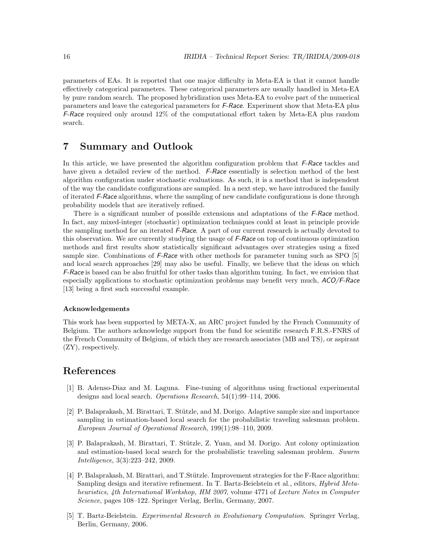parameters of EAs. It is reported that one major difficulty in Meta-EA is that it cannot handle effectively categorical parameters. These categorical parameters are usually handled in Meta-EA by pure random search. The proposed hybridization uses Meta-EA to evolve part of the numerical parameters and leave the categorical parameters for F-Race. Experiment show that Meta-EA plus F-Race required only around 12% of the computational effort taken by Meta-EA plus random search.

#### 7 Summary and Outlook

In this article, we have presented the algorithm configuration problem that F-Race tackles and have given a detailed review of the method. F-Race essentially is selection method of the best algorithm configuration under stochastic evaluations. As such, it is a method that is independent of the way the candidate configurations are sampled. In a next step, we have introduced the family of iterated F-Race algorithms, where the sampling of new candidate configurations is done through probability models that are iteratively refined.

There is a significant number of possible extensions and adaptations of the *F-Race* method. In fact, any mixed-integer (stochastic) optimization techniques could at least in principle provide the sampling method for an iterated F-Race. A part of our current research is actually devoted to this observation. We are currently studying the usage of F-Race on top of continuous optimization methods and first results show statistically significant advantages over strategies using a fixed sample size. Combinations of  $F$ -Race with other methods for parameter tuning such as SPO [5] and local search approaches [29] may also be useful. Finally, we believe that the ideas on which F-Race is based can be also fruitful for other tasks than algorithm tuning. In fact, we envision that especially applications to stochastic optimization problems may benefit very much,  $ACO/F$ -Race [13] being a first such successful example.

#### Acknowledgements

This work has been supported by META-X, an ARC project funded by the French Community of Belgium. The authors acknowledge support from the fund for scientific research F.R.S.-FNRS of the French Community of Belgium, of which they are research associates (MB and TS), or aspirant (ZY), respectively.

#### References

- [1] B. Adenso-Diaz and M. Laguna. Fine-tuning of algorithms using fractional experimental designs and local search. Operations Research, 54(1):99–114, 2006.
- [2] P. Balaprakash, M. Birattari, T. Stützle, and M. Dorigo. Adaptive sample size and importance sampling in estimation-based local search for the probabilistic traveling salesman problem. European Journal of Operational Research, 199(1):98–110, 2009.
- [3] P. Balaprakash, M. Birattari, T. Stützle, Z. Yuan, and M. Dorigo. Ant colony optimization and estimation-based local search for the probabilistic traveling salesman problem. Swarm Intelligence, 3(3):223–242, 2009.
- [4] P. Balaprakash, M. Birattari, and T. Stützle. Improvement strategies for the F-Race algorithm: Sampling design and iterative refinement. In T. Bartz-Beielstein et al., editors, Hybrid Metaheuristics, 4th International Workshop, HM 2007, volume 4771 of Lecture Notes in Computer Science, pages 108–122. Springer Verlag, Berlin, Germany, 2007.
- [5] T. Bartz-Beielstein. Experimental Research in Evolutionary Computation. Springer Verlag, Berlin, Germany, 2006.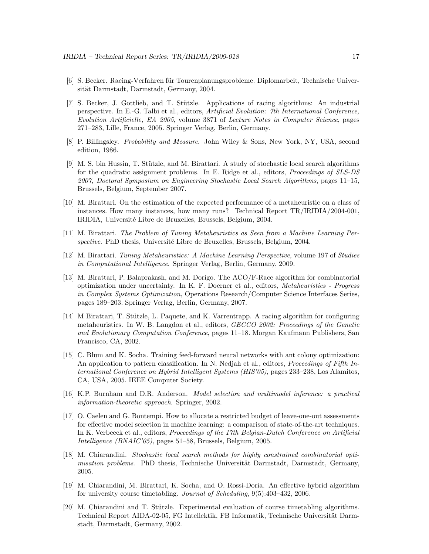- [6] S. Becker. Racing-Verfahren für Tourenplanungsprobleme. Diplomarbeit, Technische Universität Darmstadt, Darmstadt, Germany, 2004.
- [7] S. Becker, J. Gottlieb, and T. Stützle. Applications of racing algorithms: An industrial perspective. In E.-G. Talbi et al., editors, Artificial Evolution: 7th International Conference, Evolution Artificielle, EA 2005, volume 3871 of Lecture Notes in Computer Science, pages 271–283, Lille, France, 2005. Springer Verlag, Berlin, Germany.
- [8] P. Billingsley. Probability and Measure. John Wiley & Sons, New York, NY, USA, second edition, 1986.
- [9] M. S. bin Hussin, T. Stützle, and M. Birattari. A study of stochastic local search algorithms for the quadratic assignment problems. In E. Ridge et al., editors, Proceedings of SLS-DS 2007, Doctoral Symposium on Engineering Stochastic Local Search Algorithms, pages 11–15, Brussels, Belgium, September 2007.
- [10] M. Birattari. On the estimation of the expected performance of a metaheuristic on a class of instances. How many instances, how many runs? Technical Report TR/IRIDIA/2004-001, IRIDIA, Université Libre de Bruxelles, Brussels, Belgium, 2004.
- [11] M. Birattari. The Problem of Tuning Metaheuristics as Seen from a Machine Learning Perspective. PhD thesis, Université Libre de Bruxelles, Brussels, Belgium, 2004.
- [12] M. Birattari. Tuning Metaheuristics: A Machine Learning Perspective, volume 197 of Studies in Computational Intelligence. Springer Verlag, Berlin, Germany, 2009.
- [13] M. Birattari, P. Balaprakash, and M. Dorigo. The ACO/F-Race algorithm for combinatorial optimization under uncertainty. In K. F. Doerner et al., editors, Metaheuristics - Progress in Complex Systems Optimization, Operations Research/Computer Science Interfaces Series, pages 189–203. Springer Verlag, Berlin, Germany, 2007.
- [14] M Birattari, T. Stützle, L. Paquete, and K. Varrentrapp. A racing algorithm for configuring metaheuristics. In W. B. Langdon et al., editors, GECCO 2002: Proceedings of the Genetic and Evolutionary Computation Conference, pages 11–18. Morgan Kaufmann Publishers, San Francisco, CA, 2002.
- [15] C. Blum and K. Socha. Training feed-forward neural networks with ant colony optimization: An application to pattern classification. In N. Nedjah et al., editors, *Proceedings of Fifth In*ternational Conference on Hybrid Intelligent Systems (HIS'05), pages 233–238, Los Alamitos, CA, USA, 2005. IEEE Computer Society.
- [16] K.P. Burnham and D.R. Anderson. Model selection and multimodel inference: a practical information-theoretic approach. Springer, 2002.
- [17] O. Caelen and G. Bontempi. How to allocate a restricted budget of leave-one-out assessments for effective model selection in machine learning: a comparison of state-of-the-art techniques. In K. Verbeeck et al., editors, *Proceedings of the 17th Belgian-Dutch Conference on Artificial* Intelligence (BNAIC'05), pages 51–58, Brussels, Belgium, 2005.
- [18] M. Chiarandini. Stochastic local search methods for highly constrained combinatorial optimisation problems. PhD thesis, Technische Universität Darmstadt, Darmstadt, Germany, 2005.
- [19] M. Chiarandini, M. Birattari, K. Socha, and O. Rossi-Doria. An effective hybrid algorithm for university course timetabling. Journal of Scheduling, 9(5):403–432, 2006.
- [20] M. Chiarandini and T. Stützle. Experimental evaluation of course timetabling algorithms. Technical Report AIDA-02-05, FG Intellektik, FB Informatik, Technische Universität Darmstadt, Darmstadt, Germany, 2002.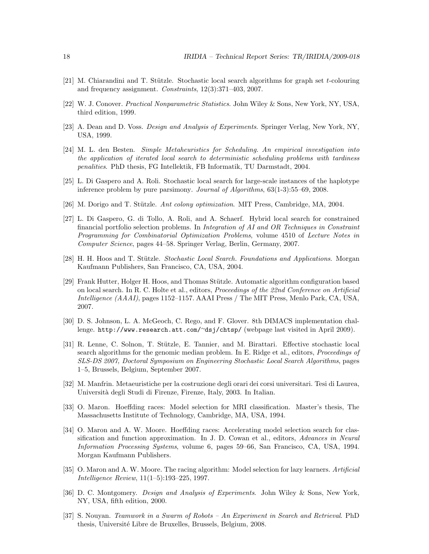- $[21]$  M. Chiarandini and T. Stützle. Stochastic local search algorithms for graph set t-colouring and frequency assignment. Constraints, 12(3):371–403, 2007.
- [22] W. J. Conover. Practical Nonparametric Statistics. John Wiley & Sons, New York, NY, USA, third edition, 1999.
- [23] A. Dean and D. Voss. Design and Analysis of Experiments. Springer Verlag, New York, NY, USA, 1999.
- [24] M. L. den Besten. Simple Metaheuristics for Scheduling. An empirical investigation into the application of iterated local search to deterministic scheduling problems with tardiness penalities. PhD thesis, FG Intellektik, FB Informatik, TU Darmstadt, 2004.
- [25] L. Di Gaspero and A. Roli. Stochastic local search for large-scale instances of the haplotype inference problem by pure parsimony. Journal of Algorithms, 63(1-3):55–69, 2008.
- [26] M. Dorigo and T. Stützle. Ant colony optimization. MIT Press, Cambridge, MA, 2004.
- [27] L. Di Gaspero, G. di Tollo, A. Roli, and A. Schaerf. Hybrid local search for constrained financial portfolio selection problems. In Integration of AI and OR Techniques in Constraint Programming for Combinatorial Optimization Problems, volume 4510 of Lecture Notes in Computer Science, pages 44–58. Springer Verlag, Berlin, Germany, 2007.
- [28] H. H. Hoos and T. Stützle. Stochastic Local Search. Foundations and Applications. Morgan Kaufmann Publishers, San Francisco, CA, USA, 2004.
- [29] Frank Hutter, Holger H. Hoos, and Thomas Stützle. Automatic algorithm configuration based on local search. In R. C. Holte et al., editors, Proceedings of the 22nd Conference on Artificial Intelligence (AAAI), pages 1152–1157. AAAI Press / The MIT Press, Menlo Park, CA, USA, 2007.
- [30] D. S. Johnson, L. A. McGeoch, C. Rego, and F. Glover. 8th DIMACS implementation challenge. http://www.research.att.com/<sup>∼</sup>dsj/chtsp/ (webpage last visited in April 2009).
- [31] R. Lenne, C. Solnon, T. Stützle, E. Tannier, and M. Birattari. Effective stochastic local search algorithms for the genomic median problem. In E. Ridge et al., editors, Proceedings of SLS-DS 2007, Doctoral Symposium on Engineering Stochastic Local Search Algorithms, pages 1–5, Brussels, Belgium, September 2007.
- [32] M. Manfrin. Metaeuristiche per la costruzione degli orari dei corsi universitari. Tesi di Laurea, Università degli Studi di Firenze, Firenze, Italy, 2003. In Italian.
- [33] O. Maron. Hoeffding races: Model selection for MRI classification. Master's thesis, The Massachusetts Institute of Technology, Cambridge, MA, USA, 1994.
- [34] O. Maron and A. W. Moore. Hoeffding races: Accelerating model selection search for classification and function approximation. In J. D. Cowan et al., editors, Advances in Neural Information Processing Systems, volume 6, pages 59–66, San Francisco, CA, USA, 1994. Morgan Kaufmann Publishers.
- [35] O. Maron and A. W. Moore. The racing algorithm: Model selection for lazy learners. Artificial Intelligence Review, 11(1–5):193–225, 1997.
- [36] D. C. Montgomery. Design and Analysis of Experiments. John Wiley & Sons, New York, NY, USA, fifth edition, 2000.
- [37] S. Nouyan. Teamwork in a Swarm of Robots An Experiment in Search and Retrieval. PhD thesis, Université Libre de Bruxelles, Brussels, Belgium, 2008.